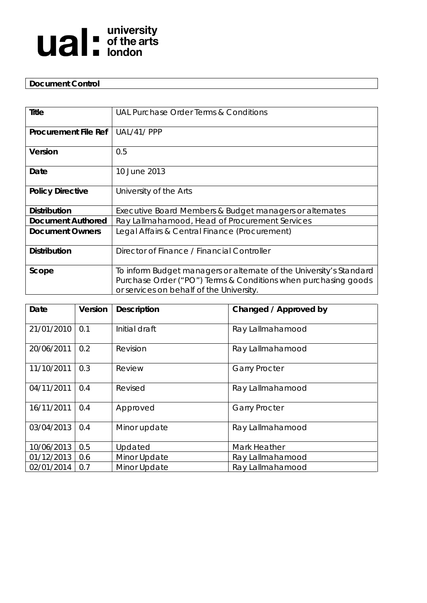

# **Document Control**

| Title                                             | UAL Purchase Order Terms & Conditions                               |  |  |
|---------------------------------------------------|---------------------------------------------------------------------|--|--|
|                                                   |                                                                     |  |  |
| <b>Procurement File Ref</b>                       | UAL/41/PPP                                                          |  |  |
|                                                   |                                                                     |  |  |
| Version                                           | 0.5                                                                 |  |  |
|                                                   |                                                                     |  |  |
| Date                                              | 10 June 2013                                                        |  |  |
|                                                   |                                                                     |  |  |
| <b>Policy Directive</b><br>University of the Arts |                                                                     |  |  |
|                                                   |                                                                     |  |  |
| <b>Distribution</b>                               | Executive Board Members & Budget managers or alternates             |  |  |
| <b>Document Authored</b>                          | Ray Lallmahamood, Head of Procurement Services                      |  |  |
| <b>Document Owners</b>                            | Legal Affairs & Central Finance (Procurement)                       |  |  |
|                                                   |                                                                     |  |  |
| <b>Distribution</b>                               | Director of Finance / Financial Controller                          |  |  |
|                                                   |                                                                     |  |  |
| Scope                                             | To inform Budget managers or alternate of the University's Standard |  |  |
|                                                   | Purchase Order ("PO") Terms & Conditions when purchasing goods      |  |  |
|                                                   | or services on behalf of the University.                            |  |  |
|                                                   |                                                                     |  |  |

| Date       | Version | <b>Description</b> | Changed / Approved by |
|------------|---------|--------------------|-----------------------|
| 21/01/2010 | 0.1     | Initial draft      | Ray Lallmahamood      |
| 20/06/2011 | 0.2     | Revision           | Ray Lallmahamood      |
| 11/10/2011 | 0.3     | Review             | <b>Garry Procter</b>  |
| 04/11/2011 | 0.4     | Revised            | Ray Lallmahamood      |
| 16/11/2011 | 0.4     | Approved           | <b>Garry Procter</b>  |
| 03/04/2013 | 0.4     | Minor update       | Ray Lallmahamood      |
| 10/06/2013 | 0.5     | Updated            | Mark Heather          |
| 01/12/2013 | 0.6     | Minor Update       | Ray Lallmahamood      |
| 02/01/2014 | 0.7     | Minor Update       | Ray Lallmahamood      |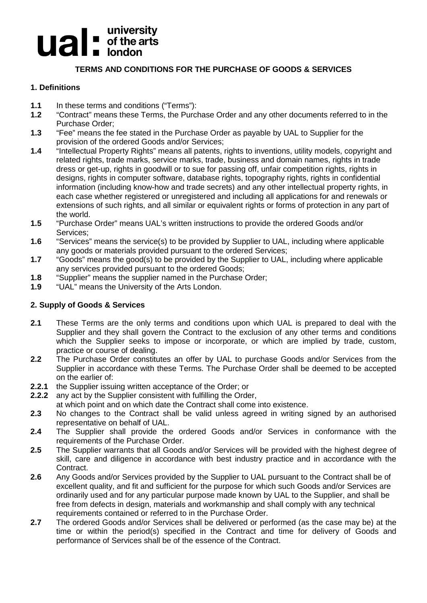# **university**<br> **uitable of the arts**

# **TERMS AND CONDITIONS FOR THE PURCHASE OF GOODS & SERVICES**

# **1. Definitions**

- **1.1** In these terms and conditions ("Terms"):<br>**1.2** "Contract" means these Terms, the Purch
- **1.2** "Contract" means these Terms, the Purchase Order and any other documents referred to in the Purchase Order;
- **1.3** "Fee" means the fee stated in the Purchase Order as payable by UAL to Supplier for the provision of the ordered Goods and/or Services;
- **1.4** "Intellectual Property Rights" means all patents, rights to inventions, utility models, copyright and related rights, trade marks, service marks, trade, business and domain names, rights in trade dress or get-up, rights in goodwill or to sue for passing off, unfair competition rights, rights in designs, rights in computer software, database rights, topography rights, rights in confidential information (including know-how and trade secrets) and any other intellectual property rights, in each case whether registered or unregistered and including all applications for and renewals or extensions of such rights, and all similar or equivalent rights or forms of protection in any part of the world.
- **1.5** "Purchase Order" means UAL's written instructions to provide the ordered Goods and/or Services;
- **1.6** "Services" means the service(s) to be provided by Supplier to UAL, including where applicable any goods or materials provided pursuant to the ordered Services;
- **1.7** "Goods" means the good(s) to be provided by the Supplier to UAL, including where applicable any services provided pursuant to the ordered Goods;
- **1.8** "Supplier" means the supplier named in the Purchase Order;<br>**1.9** "UAL" means the University of the Arts London.
- **1.9** "UAL" means the University of the Arts London.

# **2. Supply of Goods & Services**

- **2.1** These Terms are the only terms and conditions upon which UAL is prepared to deal with the Supplier and they shall govern the Contract to the exclusion of any other terms and conditions which the Supplier seeks to impose or incorporate, or which are implied by trade, custom, practice or course of dealing.
- **2.2** The Purchase Order constitutes an offer by UAL to purchase Goods and/or Services from the Supplier in accordance with these Terms. The Purchase Order shall be deemed to be accepted on the earlier of:
- **2.2.1** the Supplier issuing written acceptance of the Order; or **2.2.2** any act by the Supplier consistent with fulfilling the Orde
- **2.2.2** any act by the Supplier consistent with fulfilling the Order,
- at which point and on which date the Contract shall come into existence.
- **2.3** No changes to the Contract shall be valid unless agreed in writing signed by an authorised representative on behalf of UAL.
- **2.4** The Supplier shall provide the ordered Goods and/or Services in conformance with the requirements of the Purchase Order.
- **2.5** The Supplier warrants that all Goods and/or Services will be provided with the highest degree of skill, care and diligence in accordance with best industry practice and in accordance with the Contract.
- **2.6** Any Goods and/or Services provided by the Supplier to UAL pursuant to the Contract shall be of excellent quality, and fit and sufficient for the purpose for which such Goods and/or Services are ordinarily used and for any particular purpose made known by UAL to the Supplier, and shall be free from defects in design, materials and workmanship and shall comply with any technical requirements contained or referred to in the Purchase Order.
- **2.7** The ordered Goods and/or Services shall be delivered or performed (as the case may be) at the time or within the period(s) specified in the Contract and time for delivery of Goods and performance of Services shall be of the essence of the Contract.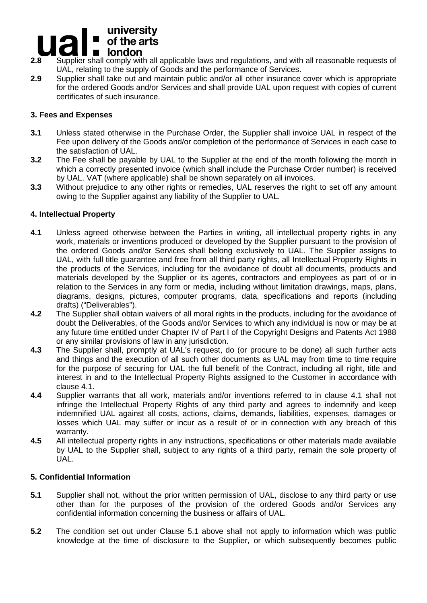#### university  $\blacksquare$  of the arts  $\blacksquare$ **london**

- **2.8** Supplier shall comply with all applicable laws and regulations, and with all reasonable requests of UAL, relating to the supply of Goods and the performance of Services.
- **2.9** Supplier shall take out and maintain public and/or all other insurance cover which is appropriate for the ordered Goods and/or Services and shall provide UAL upon request with copies of current certificates of such insurance.

#### **3. Fees and Expenses**

- **3.1** Unless stated otherwise in the Purchase Order, the Supplier shall invoice UAL in respect of the Fee upon delivery of the Goods and/or completion of the performance of Services in each case to the satisfaction of UAL.
- **3.2** The Fee shall be payable by UAL to the Supplier at the end of the month following the month in which a correctly presented invoice (which shall include the Purchase Order number) is received by UAL. VAT (where applicable) shall be shown separately on all invoices.
- **3.3** Without prejudice to any other rights or remedies, UAL reserves the right to set off any amount owing to the Supplier against any liability of the Supplier to UAL.

#### **4. Intellectual Property**

- **4.1** Unless agreed otherwise between the Parties in writing, all intellectual property rights in any work, materials or inventions produced or developed by the Supplier pursuant to the provision of the ordered Goods and/or Services shall belong exclusively to UAL. The Supplier assigns to UAL, with full title guarantee and free from all third party rights, all Intellectual Property Rights in the products of the Services, including for the avoidance of doubt all documents, products and materials developed by the Supplier or its agents, contractors and employees as part of or in relation to the Services in any form or media, including without limitation drawings, maps, plans, diagrams, designs, pictures, computer programs, data, specifications and reports (including drafts) ("Deliverables").
- **4.2** The Supplier shall obtain waivers of all moral rights in the products, including for the avoidance of doubt the Deliverables, of the Goods and/or Services to which any individual is now or may be at any future time entitled under Chapter IV of Part I of the Copyright Designs and Patents Act 1988 or any similar provisions of law in any jurisdiction.
- **4.3** The Supplier shall, promptly at UAL's request, do (or procure to be done) all such further acts and things and the execution of all such other documents as UAL may from time to time require for the purpose of securing for UAL the full benefit of the Contract, including all right, title and interest in and to the Intellectual Property Rights assigned to the Customer in accordance with clause 4.1.
- **4.4** Supplier warrants that all work, materials and/or inventions referred to in clause 4.1 shall not infringe the Intellectual Property Rights of any third party and agrees to indemnify and keep indemnified UAL against all costs, actions, claims, demands, liabilities, expenses, damages or losses which UAL may suffer or incur as a result of or in connection with any breach of this warranty.
- **4.5** All intellectual property rights in any instructions, specifications or other materials made available by UAL to the Supplier shall, subject to any rights of a third party, remain the sole property of UAL.

#### **5. Confidential Information**

- **5.1** Supplier shall not, without the prior written permission of UAL, disclose to any third party or use other than for the purposes of the provision of the ordered Goods and/or Services any confidential information concerning the business or affairs of UAL.
- **5.2** The condition set out under Clause 5.1 above shall not apply to information which was public knowledge at the time of disclosure to the Supplier, or which subsequently becomes public